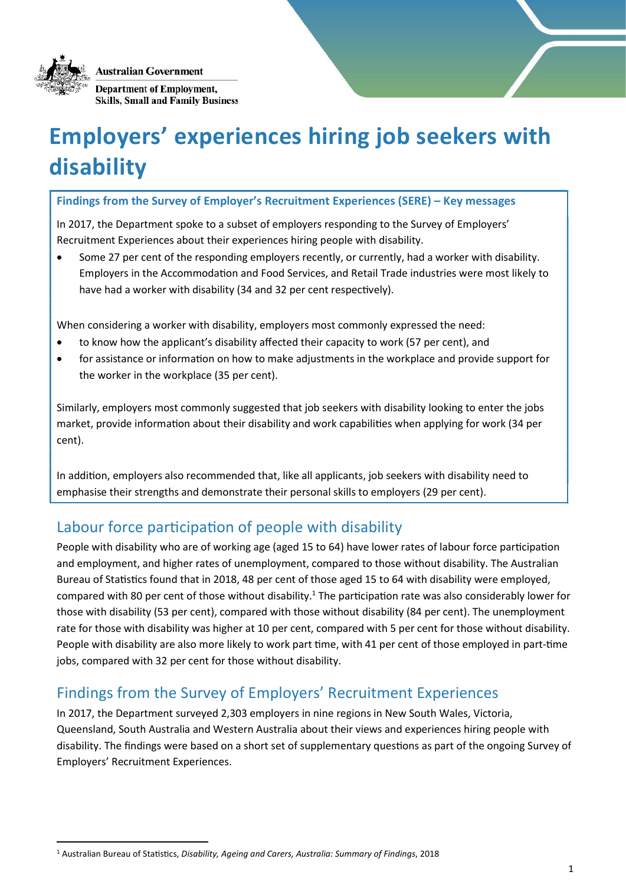Australian Government



-

**Department of Employment, Skills, Small and Family Business** 

# Employers' experiences hiring job seekers with disability

Findings from the Survey of Employer's Recruitment Experiences (SERE) – Key messages

In 2017, the Department spoke to a subset of employers responding to the Survey of Employers' Recruitment Experiences about their experiences hiring people with disability.

 Some 27 per cent of the responding employers recently, or currently, had a worker with disability. Employers in the Accommodation and Food Services, and Retail Trade industries were most likely to have had a worker with disability (34 and 32 per cent respectively).

When considering a worker with disability, employers most commonly expressed the need:

- to know how the applicant's disability affected their capacity to work (57 per cent), and
- for assistance or information on how to make adjustments in the workplace and provide support for the worker in the workplace (35 per cent).

Similarly, employers most commonly suggested that job seekers with disability looking to enter the jobs market, provide information about their disability and work capabilities when applying for work (34 per cent).

In addition, employers also recommended that, like all applicants, job seekers with disability need to emphasise their strengths and demonstrate their personal skills to employers (29 per cent).

# Labour force participation of people with disability

People with disability who are of working age (aged 15 to 64) have lower rates of labour force participation and employment, and higher rates of unemployment, compared to those without disability. The Australian Bureau of Statistics found that in 2018, 48 per cent of those aged 15 to 64 with disability were employed, compared with 80 per cent of those without disability.<sup>1</sup> The participation rate was also considerably lower for those with disability (53 per cent), compared with those without disability (84 per cent). The unemployment rate for those with disability was higher at 10 per cent, compared with 5 per cent for those without disability. People with disability are also more likely to work part time, with 41 per cent of those employed in part-time jobs, compared with 32 per cent for those without disability.

# Findings from the Survey of Employers' Recruitment Experiences

In 2017, the Department surveyed 2,303 employers in nine regions in New South Wales, Victoria, Queensland, South Australia and Western Australia about their views and experiences hiring people with disability. The findings were based on a short set of supplementary questions as part of the ongoing Survey of Employers' Recruitment Experiences.

<sup>&</sup>lt;sup>1</sup> Australian Bureau of Statistics, Disability, Ageing and Carers, Australia: Summary of Findings, 2018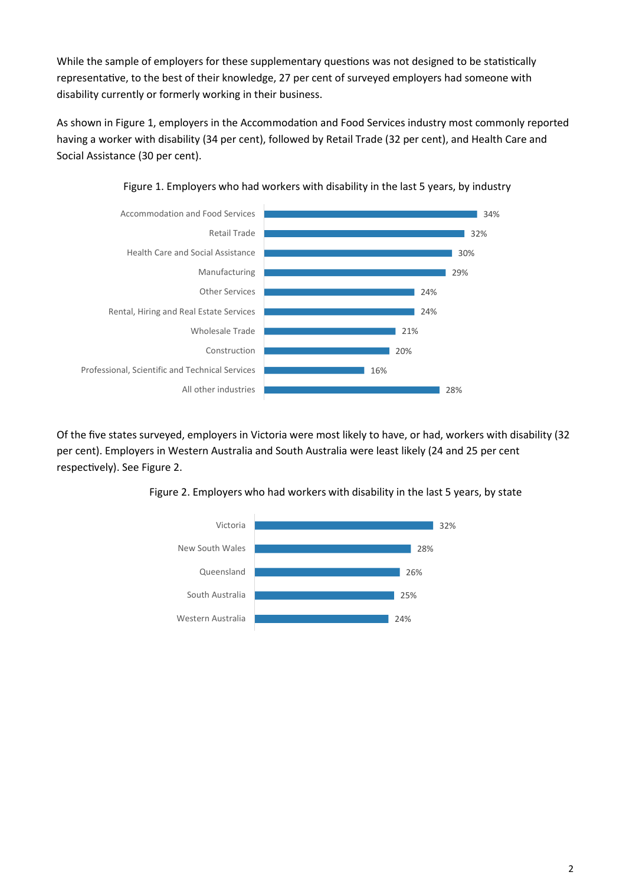While the sample of employers for these supplementary questions was not designed to be statistically representative, to the best of their knowledge, 27 per cent of surveyed employers had someone with disability currently or formerly working in their business.

As shown in Figure 1, employers in the Accommodation and Food Services industry most commonly reported having a worker with disability (34 per cent), followed by Retail Trade (32 per cent), and Health Care and Social Assistance (30 per cent).





Of the five states surveyed, employers in Victoria were most likely to have, or had, workers with disability (32 per cent). Employers in Western Australia and South Australia were least likely (24 and 25 per cent respectively). See Figure 2.



Figure 2. Employers who had workers with disability in the last 5 years, by state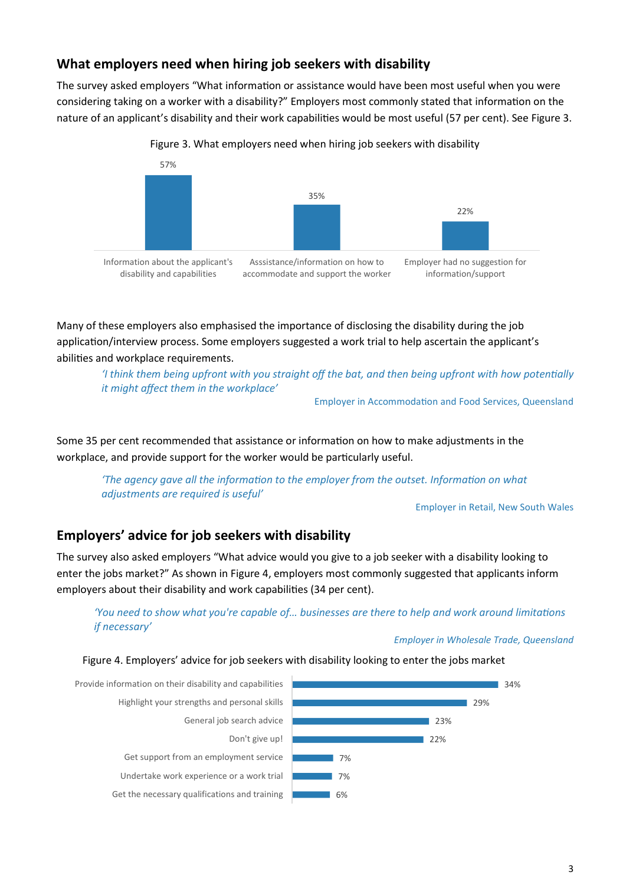## What employers need when hiring job seekers with disability

The survey asked employers "What information or assistance would have been most useful when you were considering taking on a worker with a disability?" Employers most commonly stated that information on the nature of an applicant's disability and their work capabilities would be most useful (57 per cent). See Figure 3.



Figure 3. What employers need when hiring job seekers with disability

Many of these employers also emphasised the importance of disclosing the disability during the job application/interview process. Some employers suggested a work trial to help ascertain the applicant's abilities and workplace requirements.

'I think them being upfront with you straight off the bat, and then being upfront with how potentially it might affect them in the workplace'

Employer in Accommodation and Food Services, Queensland

Some 35 per cent recommended that assistance or information on how to make adjustments in the workplace, and provide support for the worker would be particularly useful.

'The agency gave all the information to the employer from the outset. Information on what adjustments are required is useful'

Employer in Retail, New South Wales

### Employers' advice for job seekers with disability

The survey also asked employers "What advice would you give to a job seeker with a disability looking to enter the jobs market?" As shown in Figure 4, employers most commonly suggested that applicants inform employers about their disability and work capabilities (34 per cent).

### 'You need to show what you're capable of... businesses are there to help and work around limitations if necessary'

#### Employer in Wholesale Trade, Queensland

Figure 4. Employers' advice for job seekers with disability looking to enter the jobs market

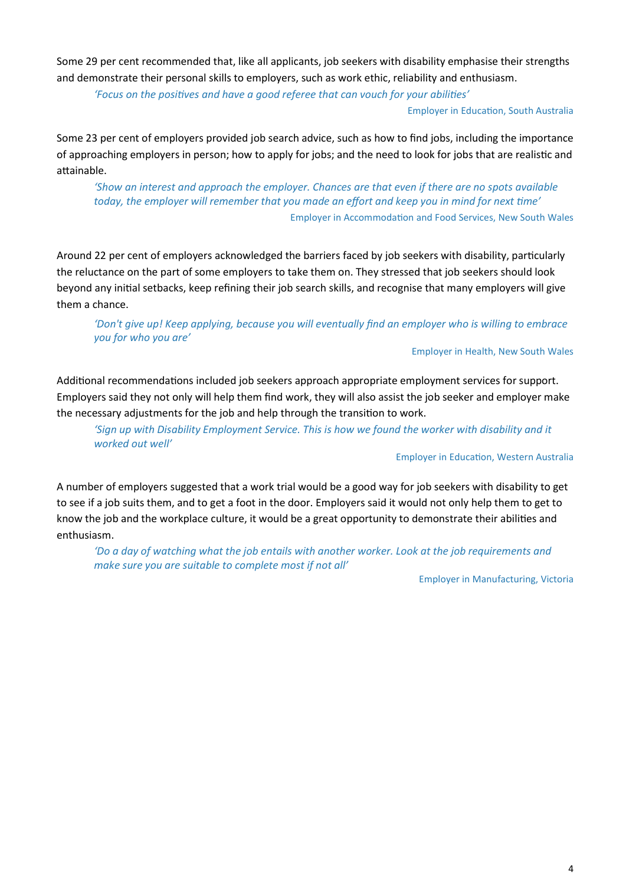Some 29 per cent recommended that, like all applicants, job seekers with disability emphasise their strengths and demonstrate their personal skills to employers, such as work ethic, reliability and enthusiasm.

'Focus on the positives and have a good referee that can vouch for your abilities'

#### Employer in Education, South Australia

Some 23 per cent of employers provided job search advice, such as how to find jobs, including the importance of approaching employers in person; how to apply for jobs; and the need to look for jobs that are realistic and attainable.

'Show an interest and approach the employer. Chances are that even if there are no spots available today, the employer will remember that you made an effort and keep you in mind for next time' Employer in Accommodation and Food Services, New South Wales

Around 22 per cent of employers acknowledged the barriers faced by job seekers with disability, particularly the reluctance on the part of some employers to take them on. They stressed that job seekers should look beyond any initial setbacks, keep refining their job search skills, and recognise that many employers will give them a chance.

### 'Don't give up! Keep applying, because you will eventually find an employer who is willing to embrace you for who you are'

#### Employer in Health, New South Wales

Additional recommendations included job seekers approach appropriate employment services for support. Employers said they not only will help them find work, they will also assist the job seeker and employer make the necessary adjustments for the job and help through the transition to work.

'Sign up with Disability Employment Service. This is how we found the worker with disability and it worked out well'

#### Employer in EducaƟon, Western Australia

A number of employers suggested that a work trial would be a good way for job seekers with disability to get to see if a job suits them, and to get a foot in the door. Employers said it would not only help them to get to know the job and the workplace culture, it would be a great opportunity to demonstrate their abilities and enthusiasm.

'Do a day of watching what the job entails with another worker. Look at the job requirements and make sure you are suitable to complete most if not all'

Employer in Manufacturing, Victoria